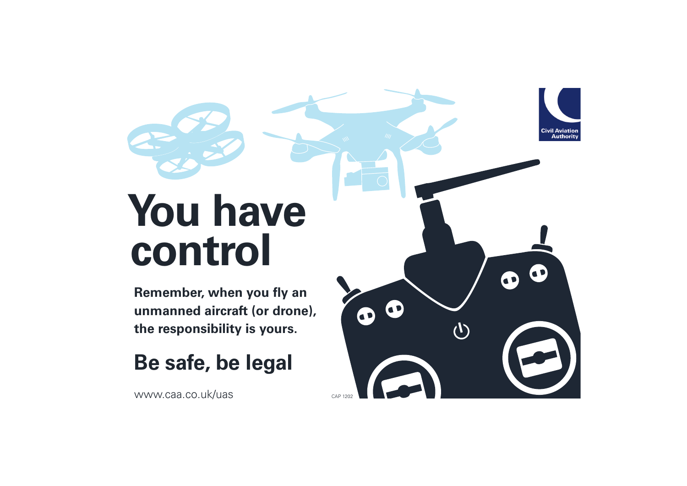## **You have** control

Remember, when you fly an unmanned aircraft (or drone), the responsibility is yours.

## Be safe, be legal

www.caa.co.uk/uas